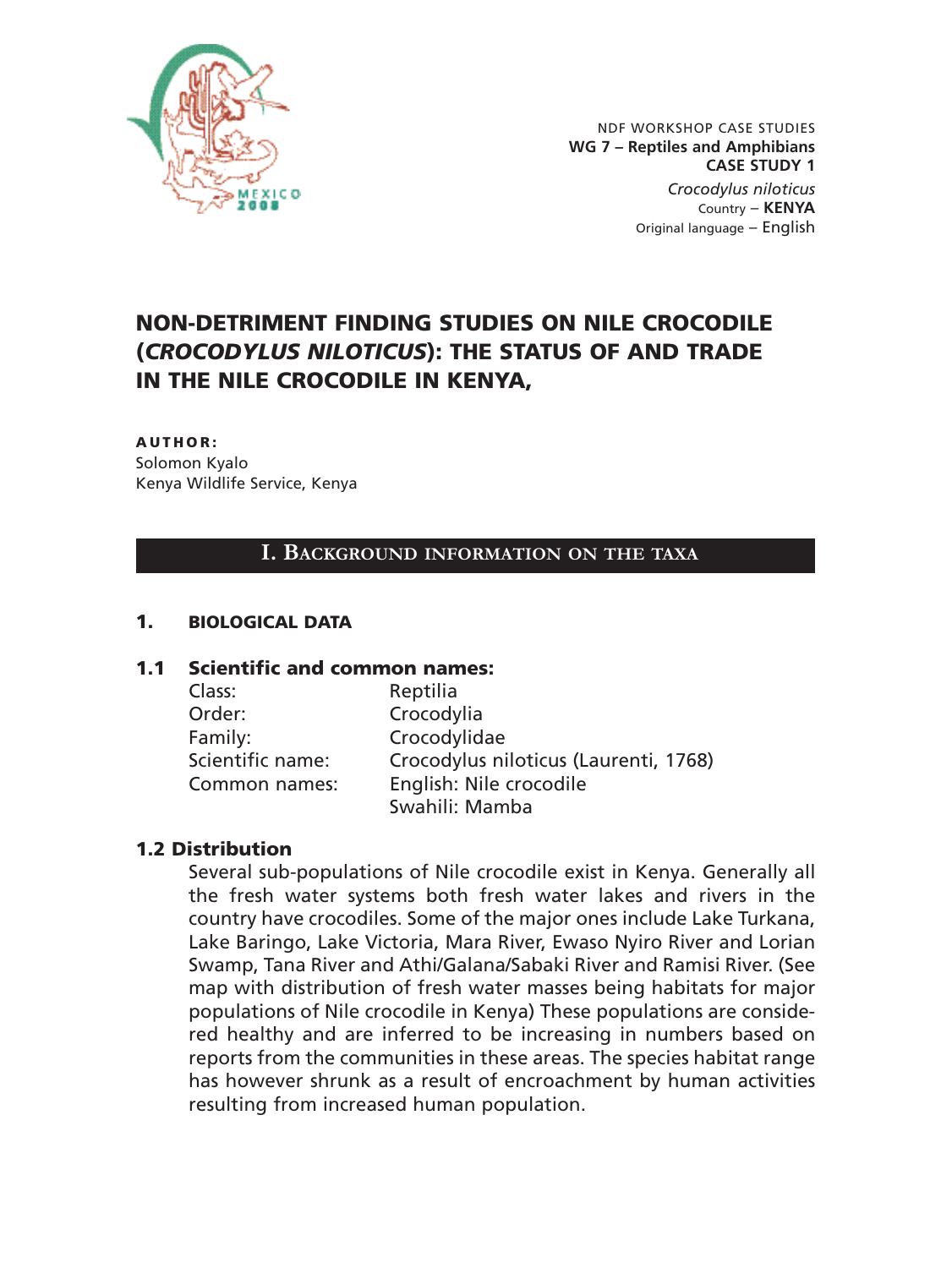

NDF WORKSHOP CASE STUDIES **WG 7 – Reptiles and Amphibians CASE STUDY 1** *Crocodylus niloticus* Country – **KENYA**  Original language – English

# **NON-DETRIMENT FINDING STUDIES ON NILE CROCODILE (***CROCODYLUS NILOTICUS***): THE STATUS OF AND TRADE IN THE NILE CROCODILE IN KENYA,**

#### **AUTHOR:**

Solomon Kyalo Kenya Wildlife Service, Kenya

#### **I. BACKGROUND INFORMATION ON THE TAXA**

#### **1. BIOLOGICAL DATA**

#### **1.1 Scientific and common names:**

| Reptilia                              |
|---------------------------------------|
| Crocodylia                            |
| Crocodylidae                          |
| Crocodylus niloticus (Laurenti, 1768) |
| English: Nile crocodile               |
| Swahili: Mamba                        |
|                                       |

#### **1.2 Distribution**

Several sub-populations of Nile crocodile exist in Kenya. Generally all the fresh water systems both fresh water lakes and rivers in the country have crocodiles. Some of the major ones include Lake Turkana, Lake Baringo, Lake Victoria, Mara River, Ewaso Nyiro River and Lorian Swamp, Tana River and Athi/Galana/Sabaki River and Ramisi River. (See map with distribution of fresh water masses being habitats for major populations of Nile crocodile in Kenya) These populations are considered healthy and are inferred to be increasing in numbers based on reports from the communities in these areas. The species habitat range has however shrunk as a result of encroachment by human activities resulting from increased human population.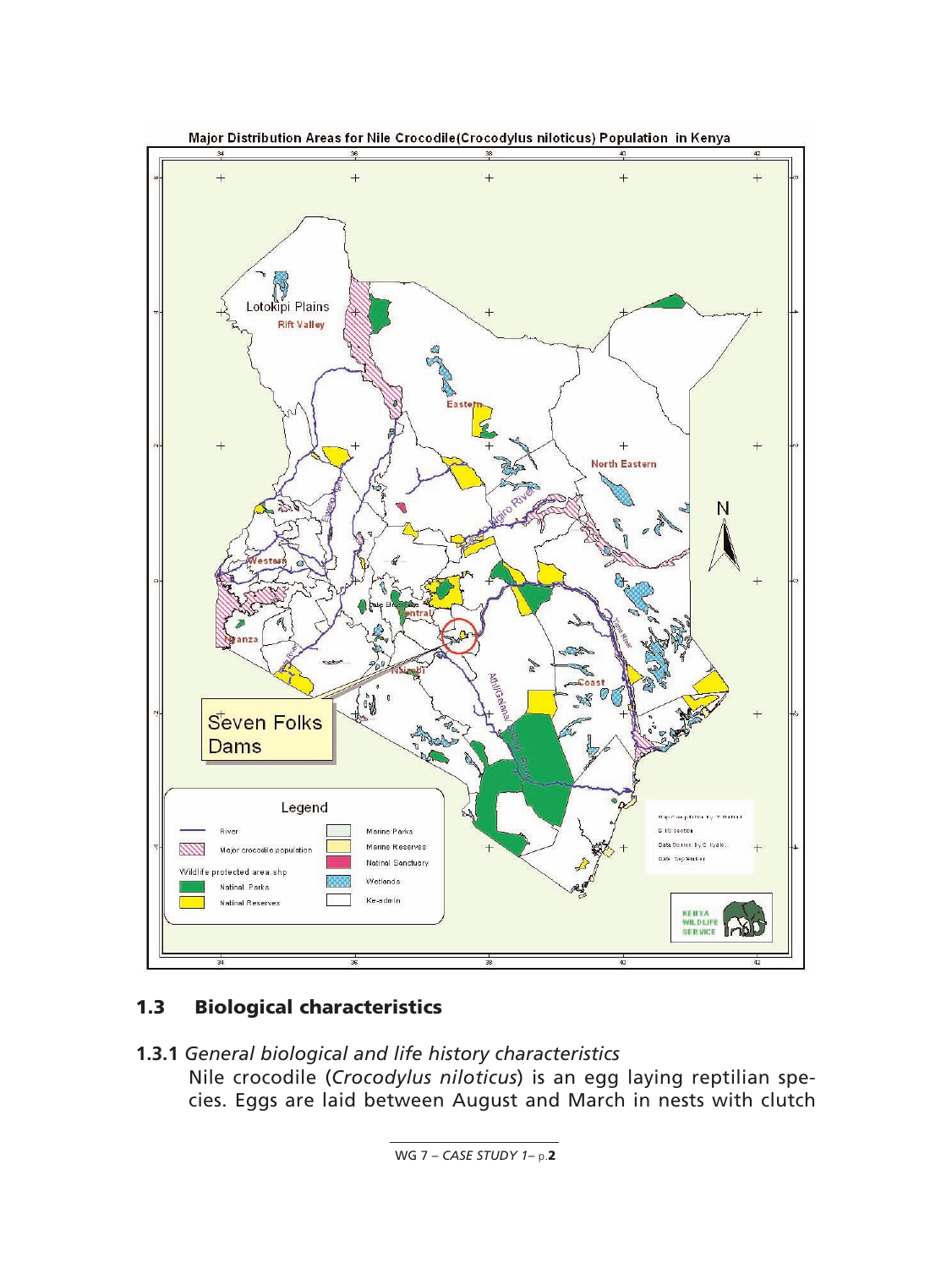

# **1.3 Biological characteristics**

**1.3.1** *General biological and life history characteristics* Nile crocodile (*Crocodylus niloticus*) is an egg laying reptilian species. Eggs are laid between August and March in nests with clutch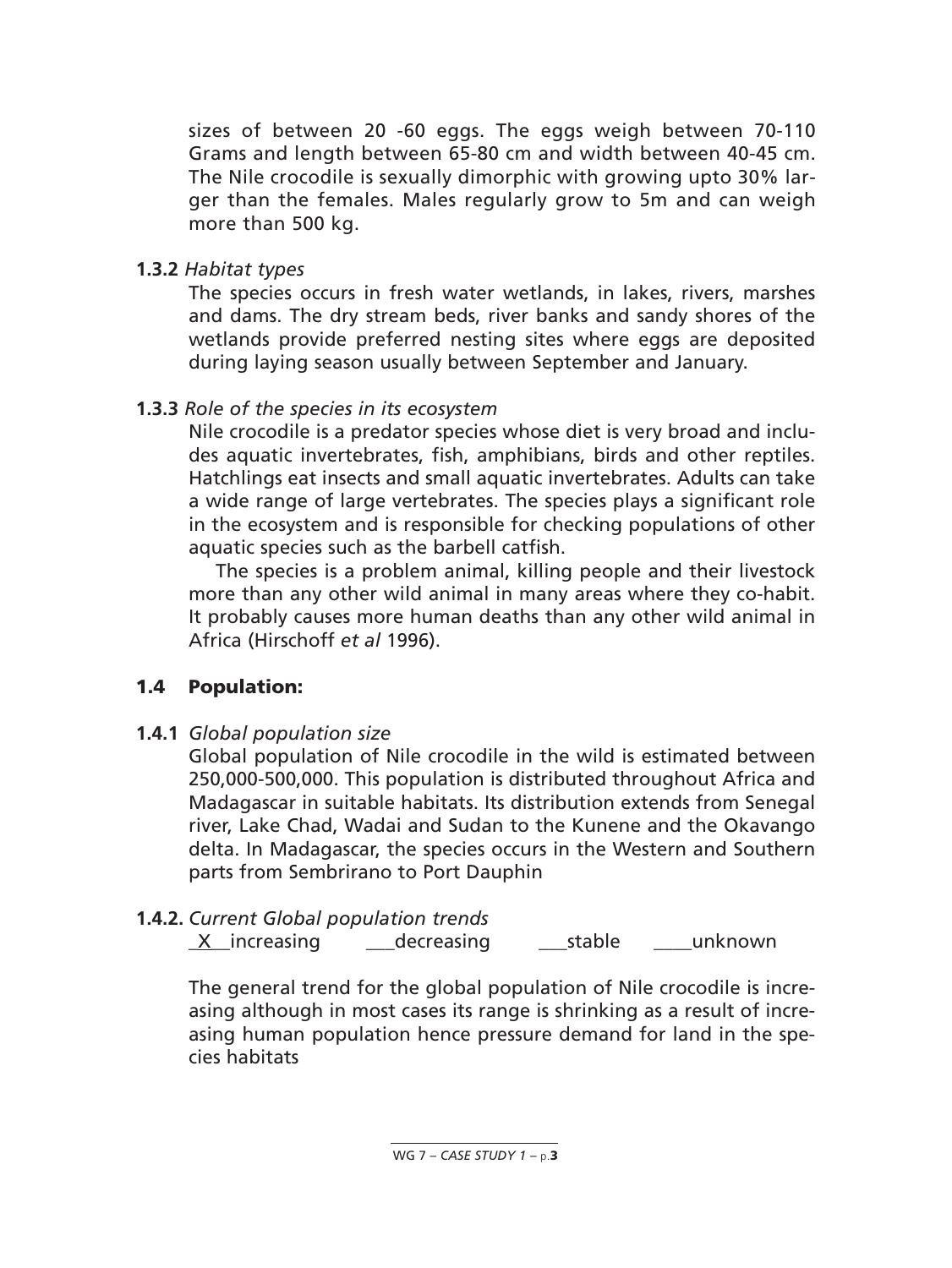sizes of between 20 -60 eggs. The eggs weigh between 70-110 Grams and length between 65-80 cm and width between 40-45 cm. The Nile crocodile is sexually dimorphic with growing upto 30% larger than the females. Males regularly grow to 5m and can weigh more than 500 kg.

## **1.3.2** *Habitat types*

The species occurs in fresh water wetlands, in lakes, rivers, marshes and dams. The dry stream beds, river banks and sandy shores of the wetlands provide preferred nesting sites where eggs are deposited during laying season usually between September and January.

## **1.3.3** *Role of the species in its ecosystem*

Nile crocodile is a predator species whose diet is very broad and includes aquatic invertebrates, fish, amphibians, birds and other reptiles. Hatchlings eat insects and small aquatic invertebrates. Adults can take a wide range of large vertebrates. The species plays a significant role in the ecosystem and is responsible for checking populations of other aquatic species such as the barbell catfish.

The species is a problem animal, killing people and their livestock more than any other wild animal in many areas where they co-habit. It probably causes more human deaths than any other wild animal in Africa (Hirschoff *et al* 1996).

# **1.4 Population:**

**1.4.1** *Global population size*

Global population of Nile crocodile in the wild is estimated between 250,000-500,000. This population is distributed throughout Africa and Madagascar in suitable habitats. Its distribution extends from Senegal river, Lake Chad, Wadai and Sudan to the Kunene and the Okavango delta. In Madagascar, the species occurs in the Western and Southern parts from Sembrirano to Port Dauphin

# **1.4.2.** *Current Global population trends*

\_X\_\_increasing \_\_\_decreasing \_\_\_stable \_\_\_\_unknown

The general trend for the global population of Nile crocodile is increasing although in most cases its range is shrinking as a result of increasing human population hence pressure demand for land in the species habitats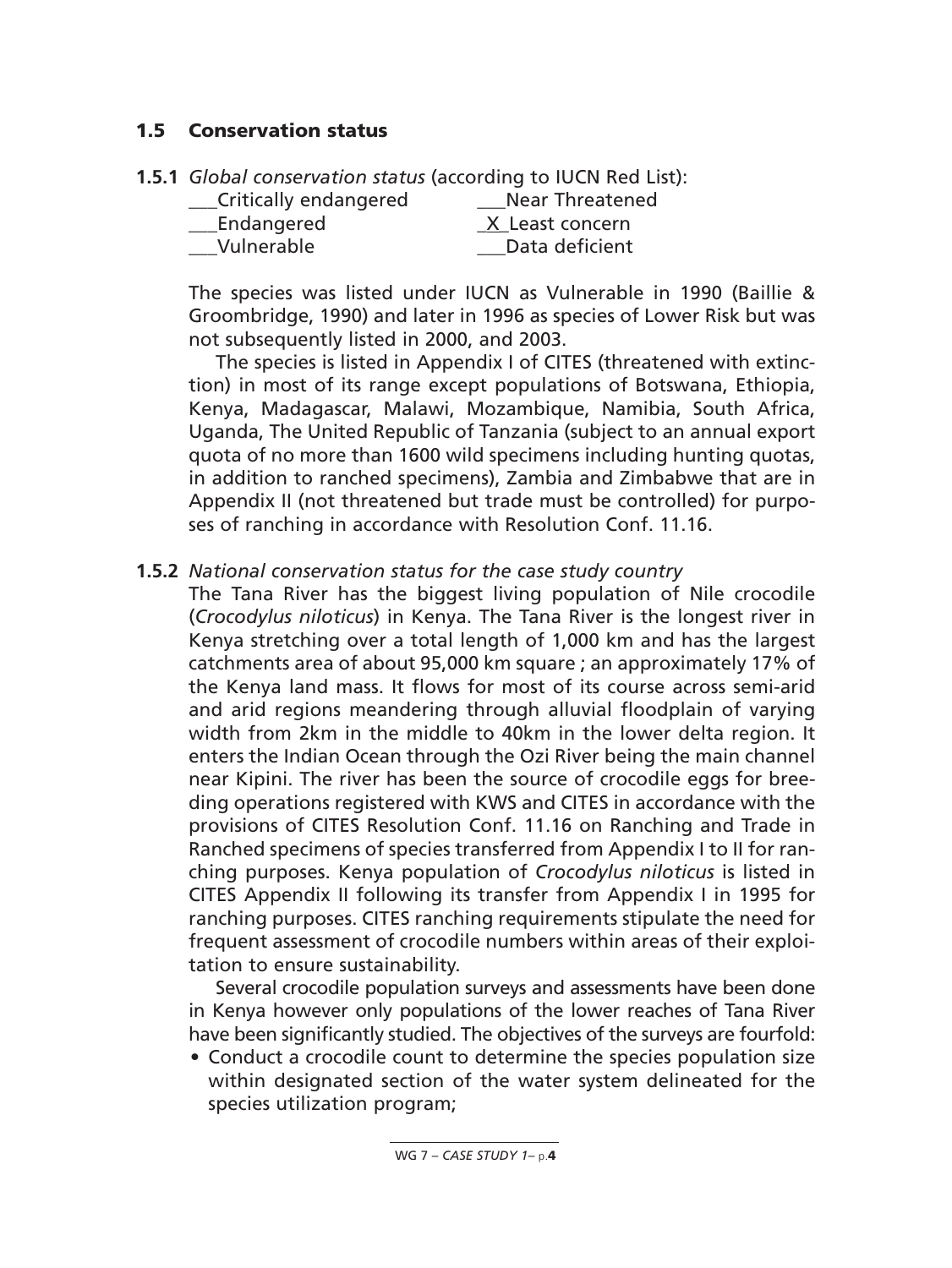## **1.5 Conservation status**

| Critically endangered | <b>Near Threatened</b> |
|-----------------------|------------------------|
| Endangered            | X Least concern        |
| Vulnerable            | Data deficient         |

The species was listed under IUCN as Vulnerable in 1990 (Baillie & Groombridge, 1990) and later in 1996 as species of Lower Risk but was not subsequently listed in 2000, and 2003.

The species is listed in Appendix I of CITES (threatened with extinction) in most of its range except populations of Botswana, Ethiopia, Kenya, Madagascar, Malawi, Mozambique, Namibia, South Africa, Uganda, The United Republic of Tanzania (subject to an annual export quota of no more than 1600 wild specimens including hunting quotas, in addition to ranched specimens), Zambia and Zimbabwe that are in Appendix II (not threatened but trade must be controlled) for purposes of ranching in accordance with Resolution Conf. 11.16.

### **1.5.2** *National conservation status for the case study country*

The Tana River has the biggest living population of Nile crocodile (*Crocodylus niloticus*) in Kenya. The Tana River is the longest river in Kenya stretching over a total length of 1,000 km and has the largest catchments area of about 95,000 km square ; an approximately 17% of the Kenya land mass. It flows for most of its course across semi-arid and arid regions meandering through alluvial floodplain of varying width from 2km in the middle to 40km in the lower delta region. It enters the Indian Ocean through the Ozi River being the main channel near Kipini. The river has been the source of crocodile eggs for breeding operations registered with KWS and CITES in accordance with the provisions of CITES Resolution Conf. 11.16 on Ranching and Trade in Ranched specimens of species transferred from Appendix I to II for ranching purposes. Kenya population of *Crocodylus niloticus* is listed in CITES Appendix II following its transfer from Appendix I in 1995 for ranching purposes. CITES ranching requirements stipulate the need for frequent assessment of crocodile numbers within areas of their exploitation to ensure sustainability.

Several crocodile population surveys and assessments have been done in Kenya however only populations of the lower reaches of Tana River have been significantly studied. The objectives of the surveys are fourfold:

• Conduct a crocodile count to determine the species population size within designated section of the water system delineated for the species utilization program;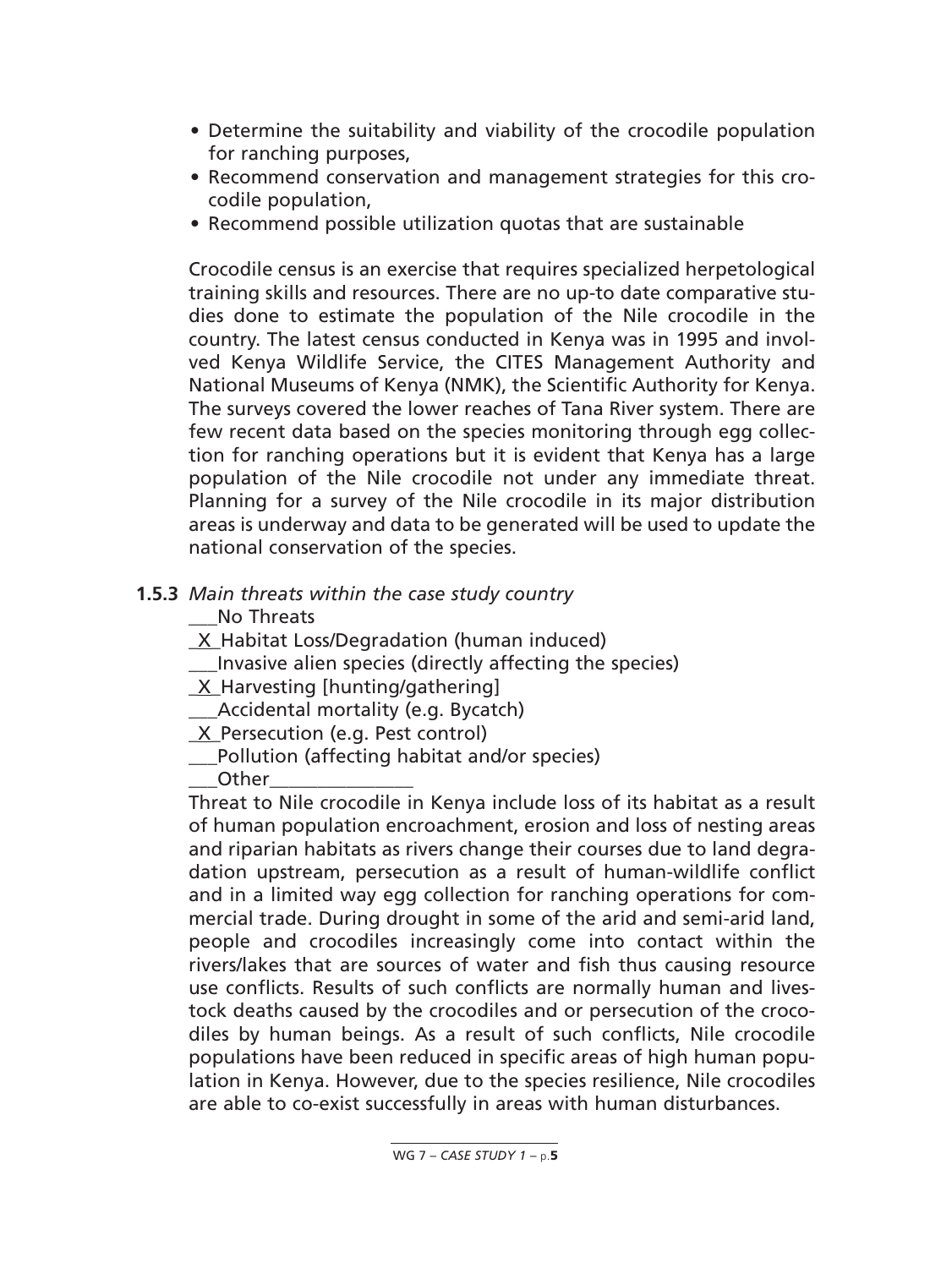- Determine the suitability and viability of the crocodile population for ranching purposes,
- Recommend conservation and management strategies for this crocodile population,
- Recommend possible utilization quotas that are sustainable

Crocodile census is an exercise that requires specialized herpetological training skills and resources. There are no up-to date comparative studies done to estimate the population of the Nile crocodile in the country. The latest census conducted in Kenya was in 1995 and involved Kenya Wildlife Service, the CITES Management Authority and National Museums of Kenya (NMK), the Scientific Authority for Kenya. The surveys covered the lower reaches of Tana River system. There are few recent data based on the species monitoring through egg collection for ranching operations but it is evident that Kenya has a large population of the Nile crocodile not under any immediate threat. Planning for a survey of the Nile crocodile in its major distribution areas is underway and data to be generated will be used to update the national conservation of the species.

## **1.5.3** *Main threats within the case study country*

No Threats

- \_X\_Habitat Loss/Degradation (human induced)
- Invasive alien species (directly affecting the species)
- \_X\_Harvesting [hunting/gathering]
- \_\_\_Accidental mortality (e.g. Bycatch)
- X Persecution (e.g. Pest control)
- Pollution (affecting habitat and/or species)

 $O$ ther

Threat to Nile crocodile in Kenya include loss of its habitat as a result of human population encroachment, erosion and loss of nesting areas and riparian habitats as rivers change their courses due to land degradation upstream, persecution as a result of human-wildlife conflict and in a limited way egg collection for ranching operations for commercial trade. During drought in some of the arid and semi-arid land, people and crocodiles increasingly come into contact within the rivers/lakes that are sources of water and fish thus causing resource use conflicts. Results of such conflicts are normally human and livestock deaths caused by the crocodiles and or persecution of the crocodiles by human beings. As a result of such conflicts, Nile crocodile populations have been reduced in specific areas of high human population in Kenya. However, due to the species resilience, Nile crocodiles are able to co-exist successfully in areas with human disturbances.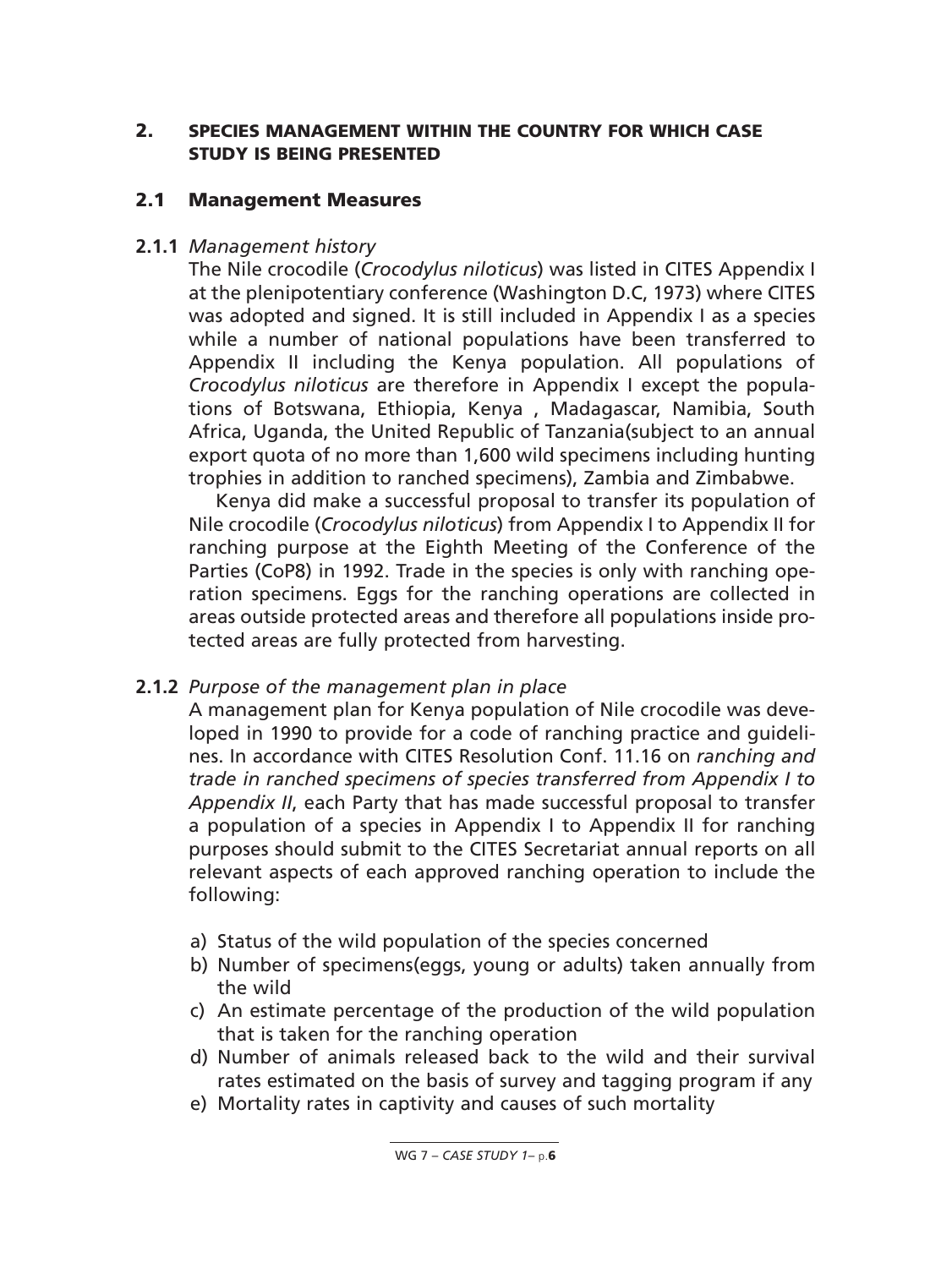### **2. SPECIES MANAGEMENT WITHIN THE COUNTRY FOR WHICH CASE STUDY IS BEING PRESENTED**

### **2.1 Management Measures**

### **2.1.1** *Management history*

The Nile crocodile (*Crocodylus niloticus*) was listed in CITES Appendix I at the plenipotentiary conference (Washington D.C, 1973) where CITES was adopted and signed. It is still included in Appendix I as a species while a number of national populations have been transferred to Appendix II including the Kenya population. All populations of *Crocodylus niloticus* are therefore in Appendix I except the populations of Botswana, Ethiopia, Kenya , Madagascar, Namibia, South Africa, Uganda, the United Republic of Tanzania(subject to an annual export quota of no more than 1,600 wild specimens including hunting trophies in addition to ranched specimens), Zambia and Zimbabwe.

Kenya did make a successful proposal to transfer its population of Nile crocodile (*Crocodylus niloticus*) from Appendix I to Appendix II for ranching purpose at the Eighth Meeting of the Conference of the Parties (CoP8) in 1992. Trade in the species is only with ranching operation specimens. Eggs for the ranching operations are collected in areas outside protected areas and therefore all populations inside protected areas are fully protected from harvesting.

## **2.1.2** *Purpose of the management plan in place*

A management plan for Kenya population of Nile crocodile was developed in 1990 to provide for a code of ranching practice and guidelines. In accordance with CITES Resolution Conf. 11.16 on *ranching and trade in ranched specimens of species transferred from Appendix I to Appendix II*, each Party that has made successful proposal to transfer a population of a species in Appendix I to Appendix II for ranching purposes should submit to the CITES Secretariat annual reports on all relevant aspects of each approved ranching operation to include the following:

- a) Status of the wild population of the species concerned
- b) Number of specimens(eggs, young or adults) taken annually from the wild
- c) An estimate percentage of the production of the wild population that is taken for the ranching operation
- d) Number of animals released back to the wild and their survival rates estimated on the basis of survey and tagging program if any
- e) Mortality rates in captivity and causes of such mortality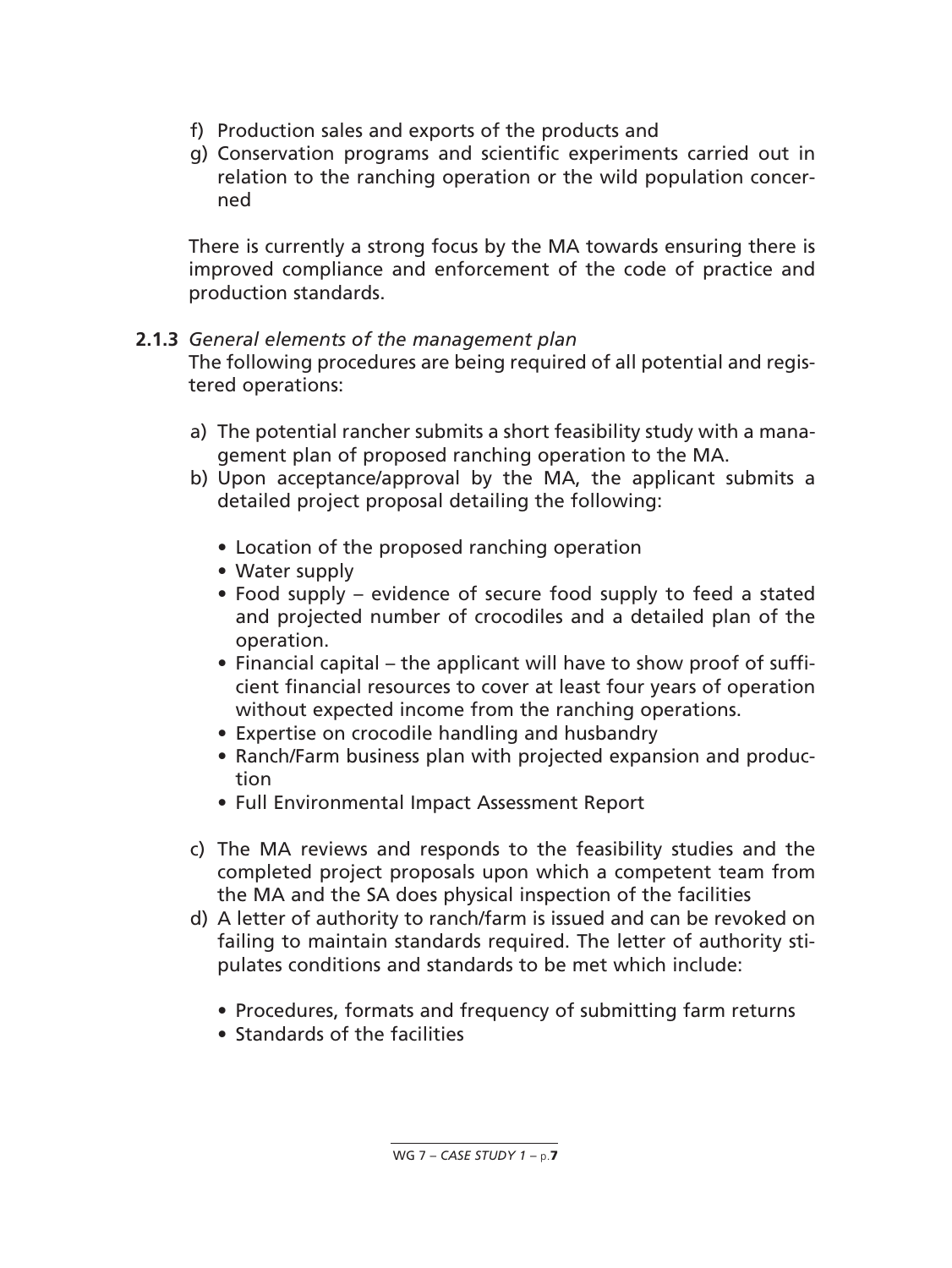- f) Production sales and exports of the products and
- g) Conservation programs and scientific experiments carried out in relation to the ranching operation or the wild population concerned

There is currently a strong focus by the MA towards ensuring there is improved compliance and enforcement of the code of practice and production standards.

## **2.1.3** *General elements of the management plan*

The following procedures are being required of all potential and registered operations:

- a) The potential rancher submits a short feasibility study with a management plan of proposed ranching operation to the MA.
- b) Upon acceptance/approval by the MA, the applicant submits a detailed project proposal detailing the following:
	- Location of the proposed ranching operation
	- Water supply
	- Food supply evidence of secure food supply to feed a stated and projected number of crocodiles and a detailed plan of the operation.
	- Financial capital the applicant will have to show proof of sufficient financial resources to cover at least four years of operation without expected income from the ranching operations.
	- Expertise on crocodile handling and husbandry
	- Ranch/Farm business plan with projected expansion and production
	- Full Environmental Impact Assessment Report
- c) The MA reviews and responds to the feasibility studies and the completed project proposals upon which a competent team from the MA and the SA does physical inspection of the facilities
- d) A letter of authority to ranch/farm is issued and can be revoked on failing to maintain standards required. The letter of authority stipulates conditions and standards to be met which include:
	- Procedures, formats and frequency of submitting farm returns
	- Standards of the facilities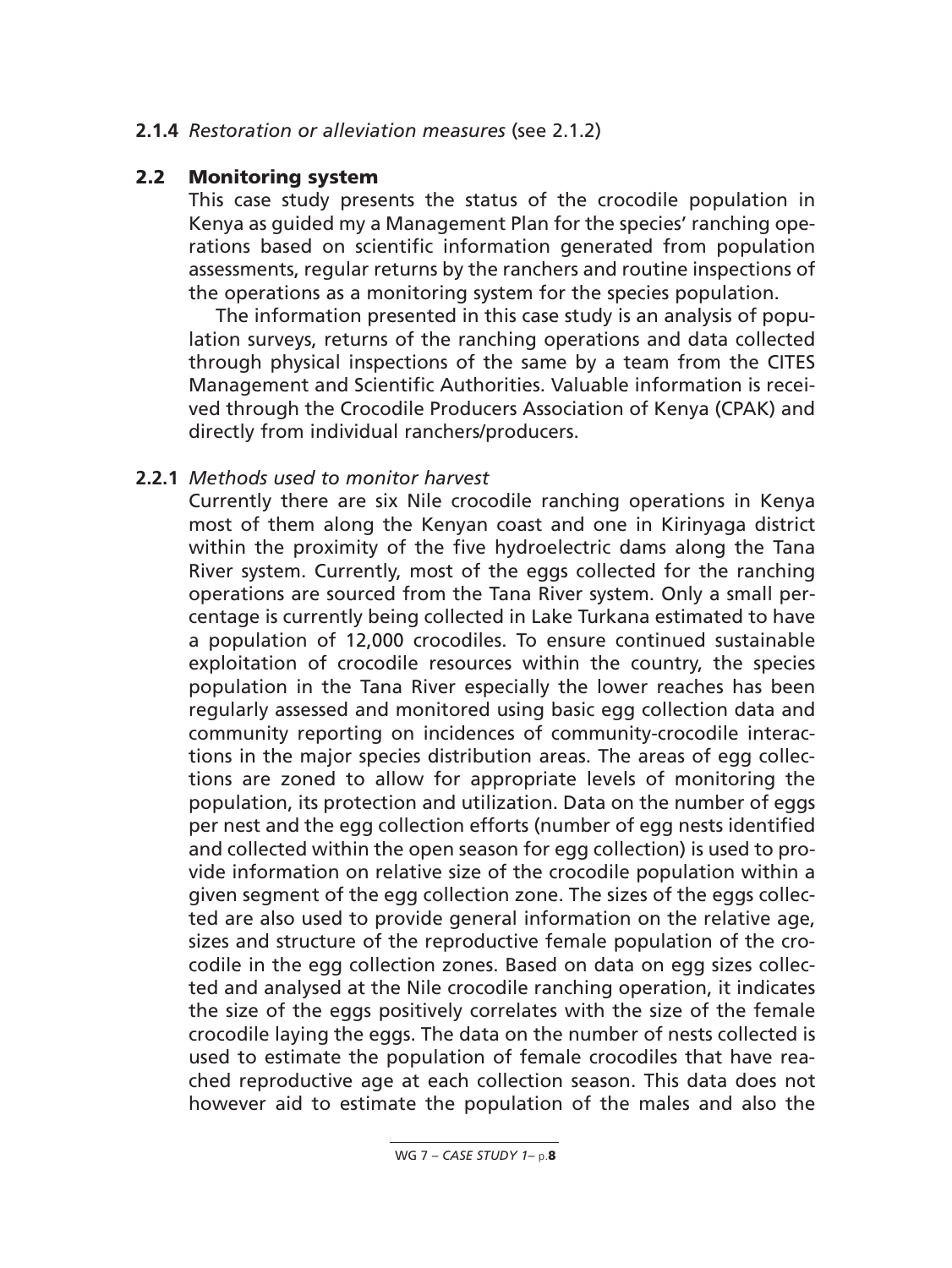#### **2.1.4** *Restoration or alleviation measures* (see 2.1.2)

#### **2.2 Monitoring system**

This case study presents the status of the crocodile population in Kenya as guided my a Management Plan for the species' ranching operations based on scientific information generated from population assessments, regular returns by the ranchers and routine inspections of the operations as a monitoring system for the species population.

The information presented in this case study is an analysis of population surveys, returns of the ranching operations and data collected through physical inspections of the same by a team from the CITES Management and Scientific Authorities. Valuable information is received through the Crocodile Producers Association of Kenya (CPAK) and directly from individual ranchers/producers.

#### **2.2.1** *Methods used to monitor harvest*

Currently there are six Nile crocodile ranching operations in Kenya most of them along the Kenyan coast and one in Kirinyaga district within the proximity of the five hydroelectric dams along the Tana River system. Currently, most of the eggs collected for the ranching operations are sourced from the Tana River system. Only a small percentage is currently being collected in Lake Turkana estimated to have a population of 12,000 crocodiles. To ensure continued sustainable exploitation of crocodile resources within the country, the species population in the Tana River especially the lower reaches has been regularly assessed and monitored using basic egg collection data and community reporting on incidences of community-crocodile interactions in the major species distribution areas. The areas of egg collections are zoned to allow for appropriate levels of monitoring the population, its protection and utilization. Data on the number of eggs per nest and the egg collection efforts (number of egg nests identified and collected within the open season for egg collection) is used to provide information on relative size of the crocodile population within a given segment of the egg collection zone. The sizes of the eggs collected are also used to provide general information on the relative age, sizes and structure of the reproductive female population of the crocodile in the egg collection zones. Based on data on egg sizes collected and analysed at the Nile crocodile ranching operation, it indicates the size of the eggs positively correlates with the size of the female crocodile laying the eggs. The data on the number of nests collected is used to estimate the population of female crocodiles that have reached reproductive age at each collection season. This data does not however aid to estimate the population of the males and also the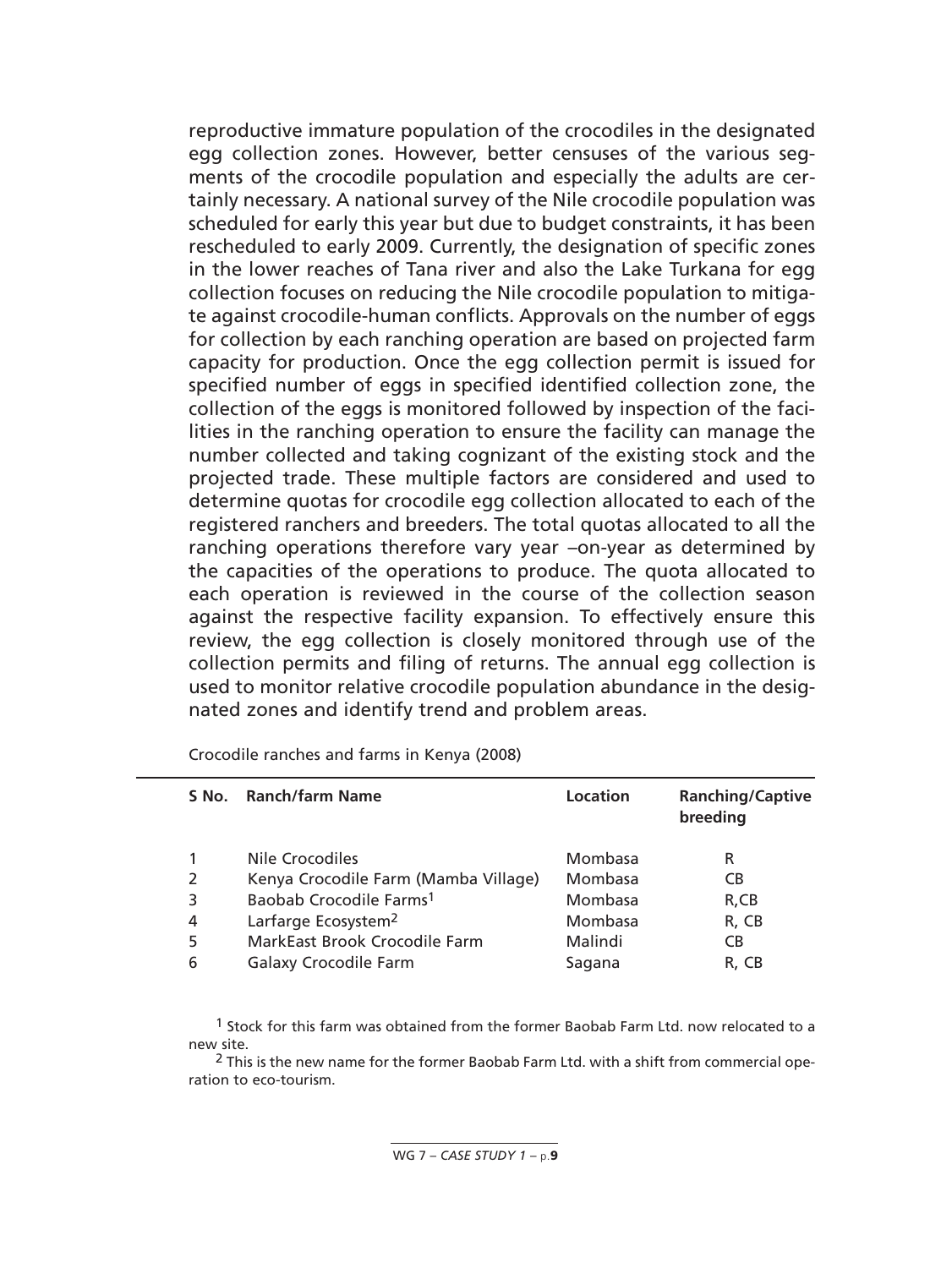reproductive immature population of the crocodiles in the designated egg collection zones. However, better censuses of the various segments of the crocodile population and especially the adults are certainly necessary. A national survey of the Nile crocodile population was scheduled for early this year but due to budget constraints, it has been rescheduled to early 2009. Currently, the designation of specific zones in the lower reaches of Tana river and also the Lake Turkana for egg collection focuses on reducing the Nile crocodile population to mitigate against crocodile-human conflicts. Approvals on the number of eggs for collection by each ranching operation are based on projected farm capacity for production. Once the egg collection permit is issued for specified number of eggs in specified identified collection zone, the collection of the eggs is monitored followed by inspection of the facilities in the ranching operation to ensure the facility can manage the number collected and taking cognizant of the existing stock and the projected trade. These multiple factors are considered and used to determine quotas for crocodile egg collection allocated to each of the registered ranchers and breeders. The total quotas allocated to all the ranching operations therefore vary year –on-year as determined by the capacities of the operations to produce. The quota allocated to each operation is reviewed in the course of the collection season against the respective facility expansion. To effectively ensure this review, the egg collection is closely monitored through use of the collection permits and filing of returns. The annual egg collection is used to monitor relative crocodile population abundance in the designated zones and identify trend and problem areas.

|   | S No. Ranch/farm Name                | Location | <b>Ranching/Captive</b><br>breeding |
|---|--------------------------------------|----------|-------------------------------------|
|   | Nile Crocodiles                      | Mombasa  | R                                   |
| 2 | Kenya Crocodile Farm (Mamba Village) | Mombasa  | СB                                  |
|   | Baobab Crocodile Farms <sup>1</sup>  | Mombasa  | R,CB                                |
| 4 | Larfarge Ecosystem <sup>2</sup>      | Mombasa  | R, CB                               |
| 5 | <b>MarkEast Brook Crocodile Farm</b> | Malindi  | <b>CB</b>                           |
| 6 | <b>Galaxy Crocodile Farm</b>         | Sagana   | R. CB                               |

Crocodile ranches and farms in Kenya (2008)

1 Stock for this farm was obtained from the former Baobab Farm Ltd. now relocated to a new site.

<sup>2</sup> This is the new name for the former Baobab Farm Ltd. with a shift from commercial operation to eco-tourism.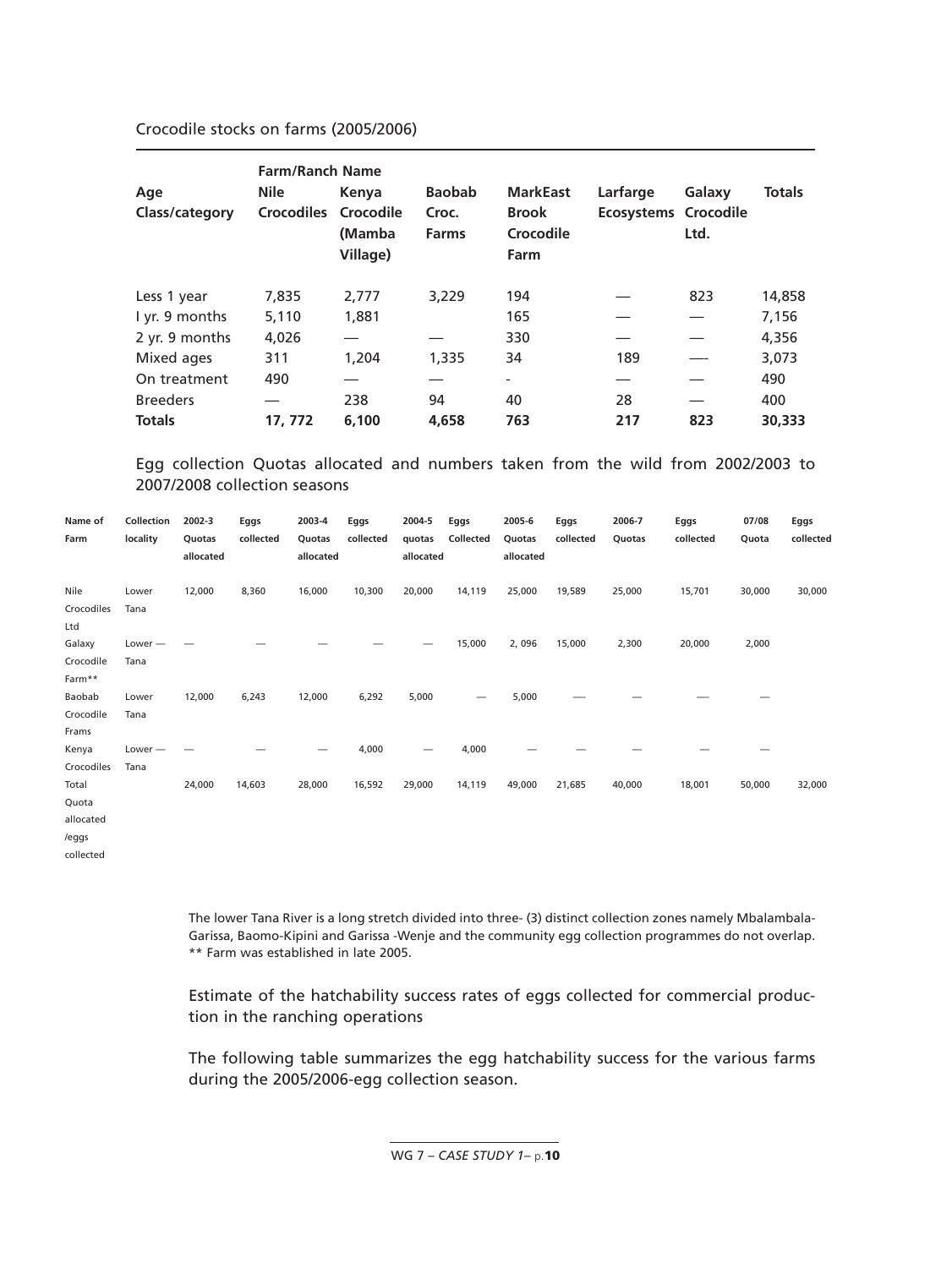Crocodile stocks on farms (2005/2006)

|                 | <b>Farm/Ranch Name</b> |                    |                       |                                   |                      |        |               |
|-----------------|------------------------|--------------------|-----------------------|-----------------------------------|----------------------|--------|---------------|
| Age             | <b>Nile</b>            | Kenya              | <b>Baobab</b>         | <b>MarkEast</b>                   | Larfarge             | Galaxy | <b>Totals</b> |
| Class/category  | Crocodiles Crocodile   | (Mamba<br>Village) | Croc.<br><b>Farms</b> | <b>Brook</b><br>Crocodile<br>Farm | Ecosystems Crocodile | Ltd.   |               |
| Less 1 year     | 7,835                  | 2.777              | 3,229                 | 194                               |                      | 823    | 14,858        |
| I yr. 9 months  | 5,110                  | 1,881              |                       | 165                               |                      |        | 7,156         |
| 2 yr. 9 months  | 4,026                  |                    |                       | 330                               |                      |        | 4,356         |
| Mixed ages      | 311                    | 1,204              | 1,335                 | 34                                | 189                  |        | 3,073         |
| On treatment    | 490                    |                    |                       | $\overline{\phantom{0}}$          |                      |        | 490           |
| <b>Breeders</b> |                        | 238                | 94                    | 40                                | 28                   |        | 400           |
| <b>Totals</b>   | 17, 772                | 6.100              | 4,658                 | 763                               | 217                  | 823    | 30,333        |

Egg collection Quotas allocated and numbers taken from the wild from 2002/2003 to 2007/2008 collection seasons

| Name of<br>Farm                      | Collection<br>locality | 2002-3<br>Quotas<br>allocated | Eggs<br>collected | 2003-4<br>Quotas<br>allocated | Eggs<br>collected | 2004-5<br>quotas<br>allocated | Eggs<br>Collected | 2005-6<br>Quotas<br>allocated | Eggs<br>collected | 2006-7<br>Quotas | Eggs<br>collected | 07/08<br>Quota | Eggs<br>collected |
|--------------------------------------|------------------------|-------------------------------|-------------------|-------------------------------|-------------------|-------------------------------|-------------------|-------------------------------|-------------------|------------------|-------------------|----------------|-------------------|
| Nile<br>Crocodiles<br>Ltd            | Lower<br>Tana          | 12,000                        | 8,360             | 16,000                        | 10,300            | 20,000                        | 14,119            | 25,000                        | 19,589            | 25,000           | 15,701            | 30,000         | 30,000            |
| Galaxy<br>Crocodile<br>Farm**        | $Lower -$<br>Tana      |                               |                   |                               |                   |                               | 15,000            | 2,096                         | 15,000            | 2,300            | 20,000            | 2,000          |                   |
| Baobab<br>Crocodile<br>Frams         | Lower<br>Tana          | 12,000                        | 6,243             | 12,000                        | 6,292             | 5,000                         | -                 | 5,000                         |                   |                  |                   |                |                   |
| Kenya<br>Crocodiles                  | $Lower -$<br>Tana      |                               |                   |                               | 4,000             | —                             | 4,000             |                               |                   |                  |                   |                |                   |
| Total<br>Quota<br>allocated<br>/eggs |                        | 24,000                        | 14,603            | 28,000                        | 16,592            | 29,000                        | 14,119            | 49,000                        | 21,685            | 40,000           | 18,001            | 50,000         | 32,000            |
| collected                            |                        |                               |                   |                               |                   |                               |                   |                               |                   |                  |                   |                |                   |

The lower Tana River is a long stretch divided into three- (3) distinct collection zones namely Mbalambala-Garissa, Baomo-Kipini and Garissa -Wenje and the community egg collection programmes do not overlap. \*\* Farm was established in late 2005.

Estimate of the hatchability success rates of eggs collected for commercial production in the ranching operations

The following table summarizes the egg hatchability success for the various farms during the 2005/2006-egg collection season.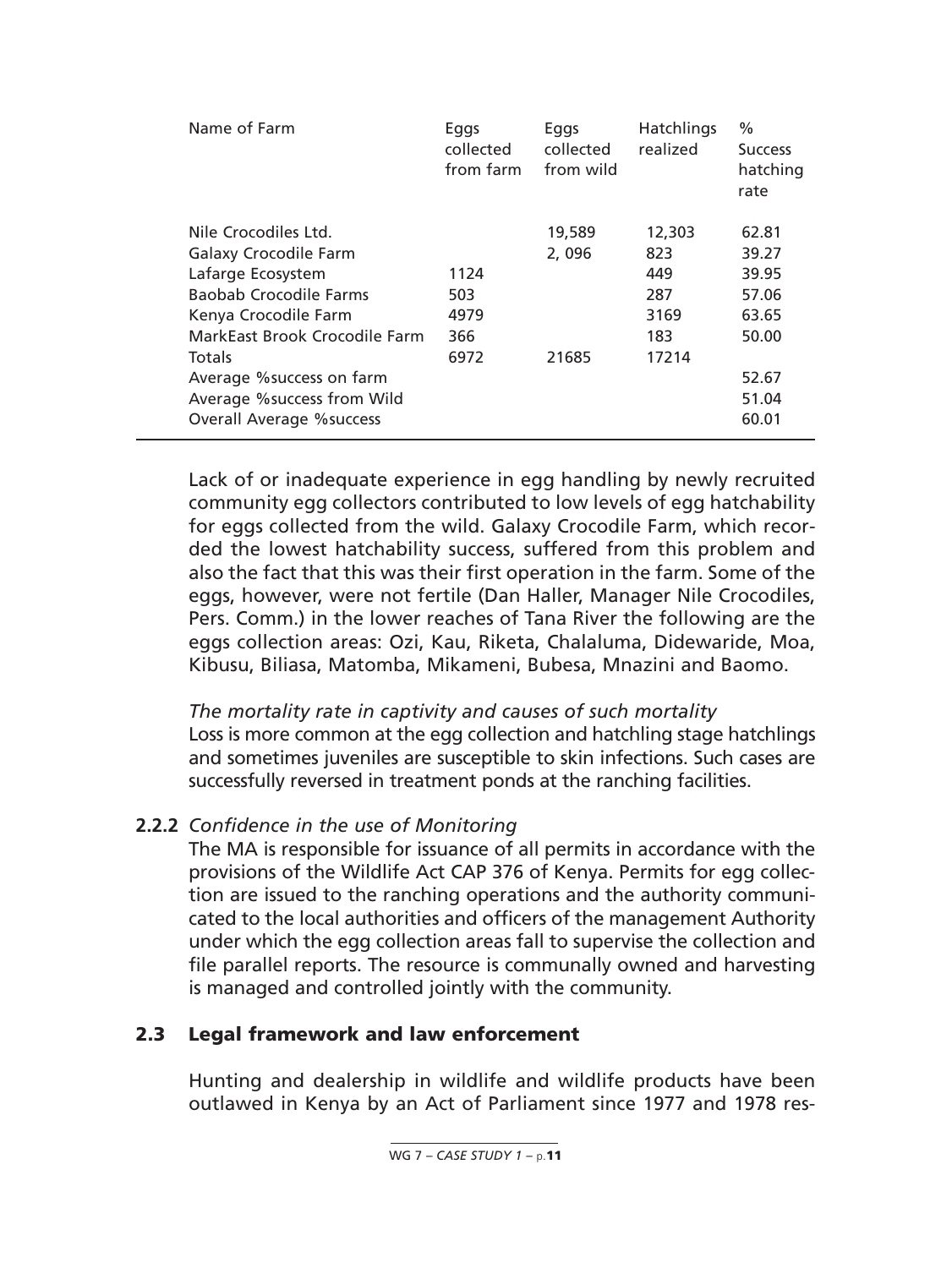| Name of Farm                     | Eggs<br>collected<br>from farm | Eggs<br>collected<br>from wild | Hatchlings<br>realized | $\%$<br><b>Success</b><br>hatching<br>rate |
|----------------------------------|--------------------------------|--------------------------------|------------------------|--------------------------------------------|
| Nile Crocodiles Ltd.             |                                | 19,589                         | 12,303                 | 62.81                                      |
| <b>Galaxy Crocodile Farm</b>     |                                | 2,096                          | 823                    | 39.27                                      |
| Lafarge Ecosystem                | 1124                           |                                | 449                    | 39.95                                      |
| Baobab Crocodile Farms           | 503                            |                                | 287                    | 57.06                                      |
| Kenya Crocodile Farm             | 4979                           |                                | 3169                   | 63.65                                      |
| MarkEast Brook Crocodile Farm    | 366                            |                                | 183                    | 50.00                                      |
| Totals                           | 6972                           | 21685                          | 17214                  |                                            |
| Average % success on farm        |                                |                                |                        | 52.67                                      |
| Average % success from Wild      |                                |                                |                        | 51.04                                      |
| <b>Overall Average % success</b> |                                |                                |                        | 60.01                                      |
|                                  |                                |                                |                        |                                            |

Lack of or inadequate experience in egg handling by newly recruited community egg collectors contributed to low levels of egg hatchability for eggs collected from the wild. Galaxy Crocodile Farm, which recorded the lowest hatchability success, suffered from this problem and also the fact that this was their first operation in the farm. Some of the eggs, however, were not fertile (Dan Haller, Manager Nile Crocodiles, Pers. Comm.) in the lower reaches of Tana River the following are the eggs collection areas: Ozi, Kau, Riketa, Chalaluma, Didewaride, Moa, Kibusu, Biliasa, Matomba, Mikameni, Bubesa, Mnazini and Baomo.

*The mortality rate in captivity and causes of such mortality* Loss is more common at the egg collection and hatchling stage hatchlings and sometimes juveniles are susceptible to skin infections. Such cases are successfully reversed in treatment ponds at the ranching facilities.

## **2.2.2** *Confidence in the use of Monitoring*

The MA is responsible for issuance of all permits in accordance with the provisions of the Wildlife Act CAP 376 of Kenya. Permits for egg collection are issued to the ranching operations and the authority communicated to the local authorities and officers of the management Authority under which the egg collection areas fall to supervise the collection and file parallel reports. The resource is communally owned and harvesting is managed and controlled jointly with the community.

## **2.3 Legal framework and law enforcement**

Hunting and dealership in wildlife and wildlife products have been outlawed in Kenya by an Act of Parliament since 1977 and 1978 res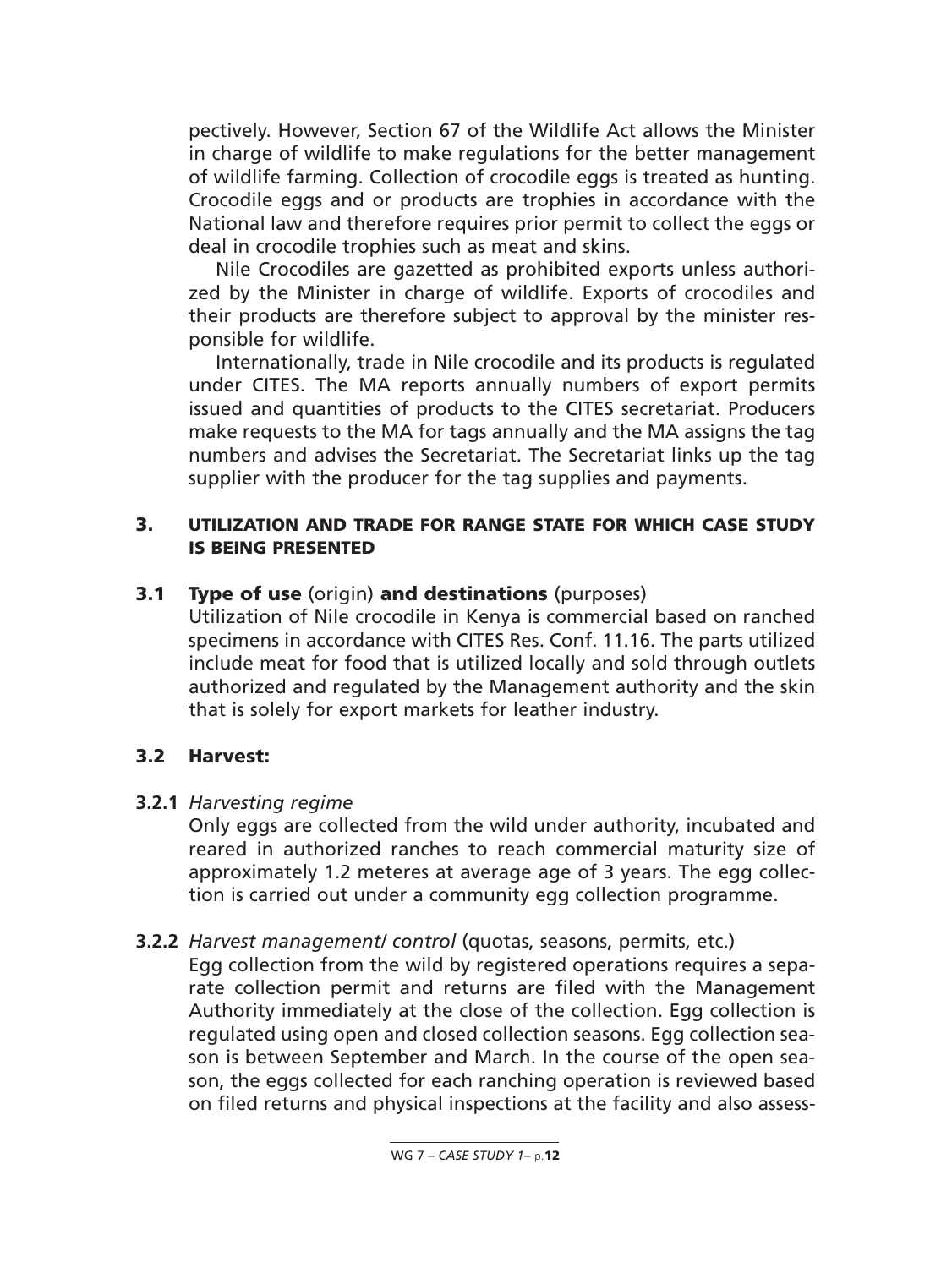pectively. However, Section 67 of the Wildlife Act allows the Minister in charge of wildlife to make regulations for the better management of wildlife farming. Collection of crocodile eggs is treated as hunting. Crocodile eggs and or products are trophies in accordance with the National law and therefore requires prior permit to collect the eggs or deal in crocodile trophies such as meat and skins.

Nile Crocodiles are gazetted as prohibited exports unless authorized by the Minister in charge of wildlife. Exports of crocodiles and their products are therefore subject to approval by the minister responsible for wildlife.

Internationally, trade in Nile crocodile and its products is regulated under CITES. The MA reports annually numbers of export permits issued and quantities of products to the CITES secretariat. Producers make requests to the MA for tags annually and the MA assigns the tag numbers and advises the Secretariat. The Secretariat links up the tag supplier with the producer for the tag supplies and payments.

### **3. UTILIZATION AND TRADE FOR RANGE STATE FOR WHICH CASE STUDY IS BEING PRESENTED**

### **3.1 Type of use** (origin) **and destinations** (purposes)

Utilization of Nile crocodile in Kenya is commercial based on ranched specimens in accordance with CITES Res. Conf. 11.16. The parts utilized include meat for food that is utilized locally and sold through outlets authorized and regulated by the Management authority and the skin that is solely for export markets for leather industry.

#### **3.2 Harvest:**

#### **3.2.1** *Harvesting regime*

Only eggs are collected from the wild under authority, incubated and reared in authorized ranches to reach commercial maturity size of approximately 1.2 meteres at average age of 3 years. The egg collection is carried out under a community egg collection programme.

#### **3.2.2** *Harvest management/ control* (quotas, seasons, permits, etc.)

Egg collection from the wild by registered operations requires a separate collection permit and returns are filed with the Management Authority immediately at the close of the collection. Egg collection is regulated using open and closed collection seasons. Egg collection season is between September and March. In the course of the open season, the eggs collected for each ranching operation is reviewed based on filed returns and physical inspections at the facility and also assess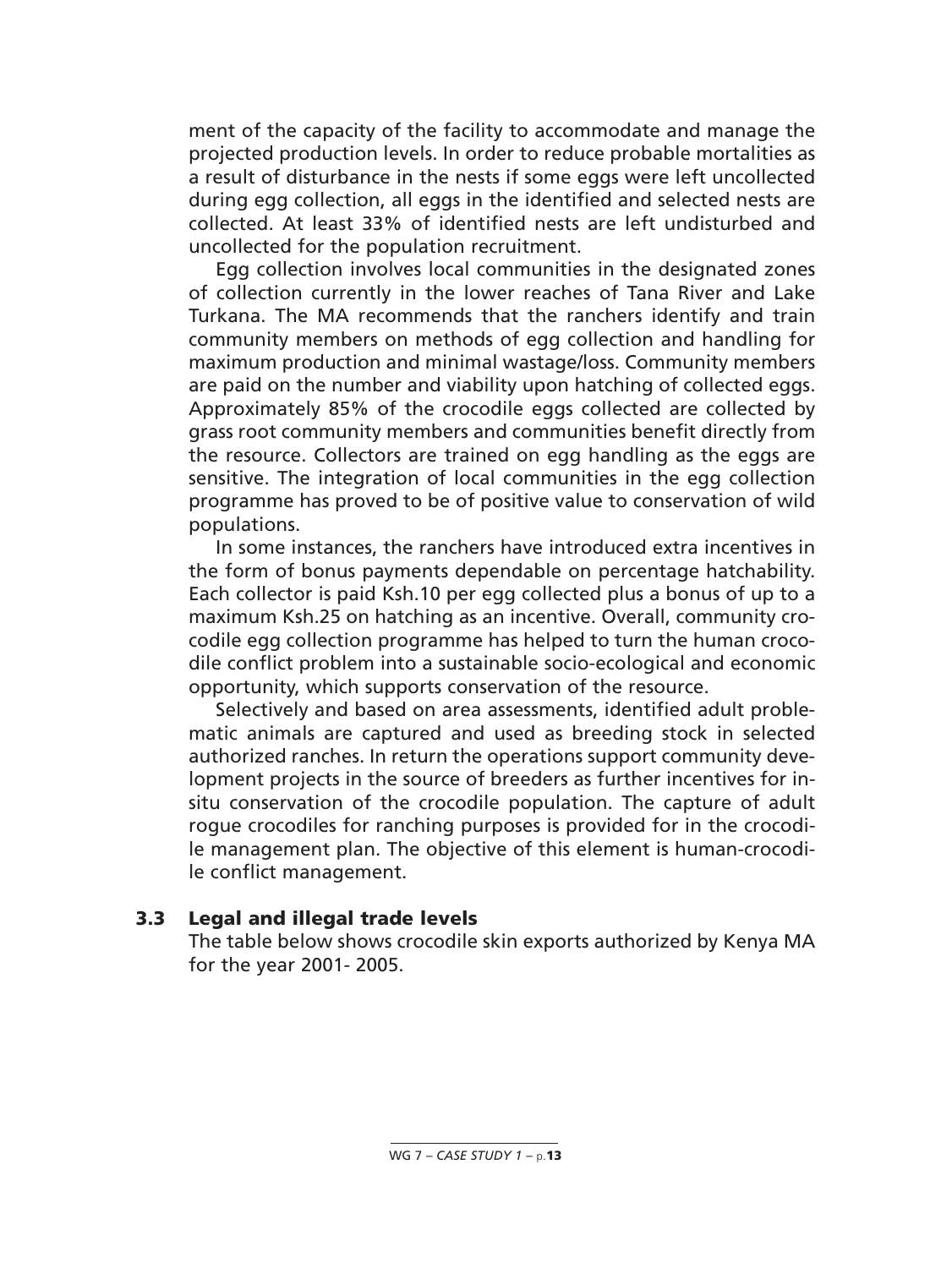ment of the capacity of the facility to accommodate and manage the projected production levels. In order to reduce probable mortalities as a result of disturbance in the nests if some eggs were left uncollected during egg collection, all eggs in the identified and selected nests are collected. At least 33% of identified nests are left undisturbed and uncollected for the population recruitment.

Egg collection involves local communities in the designated zones of collection currently in the lower reaches of Tana River and Lake Turkana. The MA recommends that the ranchers identify and train community members on methods of egg collection and handling for maximum production and minimal wastage/loss. Community members are paid on the number and viability upon hatching of collected eggs. Approximately 85% of the crocodile eggs collected are collected by grass root community members and communities benefit directly from the resource. Collectors are trained on egg handling as the eggs are sensitive. The integration of local communities in the egg collection programme has proved to be of positive value to conservation of wild populations.

In some instances, the ranchers have introduced extra incentives in the form of bonus payments dependable on percentage hatchability. Each collector is paid Ksh.10 per egg collected plus a bonus of up to a maximum Ksh.25 on hatching as an incentive. Overall, community crocodile egg collection programme has helped to turn the human crocodile conflict problem into a sustainable socio-ecological and economic opportunity, which supports conservation of the resource.

Selectively and based on area assessments, identified adult problematic animals are captured and used as breeding stock in selected authorized ranches. In return the operations support community development projects in the source of breeders as further incentives for insitu conservation of the crocodile population. The capture of adult rogue crocodiles for ranching purposes is provided for in the crocodile management plan. The objective of this element is human-crocodile conflict management.

#### **3.3 Legal and illegal trade levels**

The table below shows crocodile skin exports authorized by Kenya MA for the year 2001- 2005.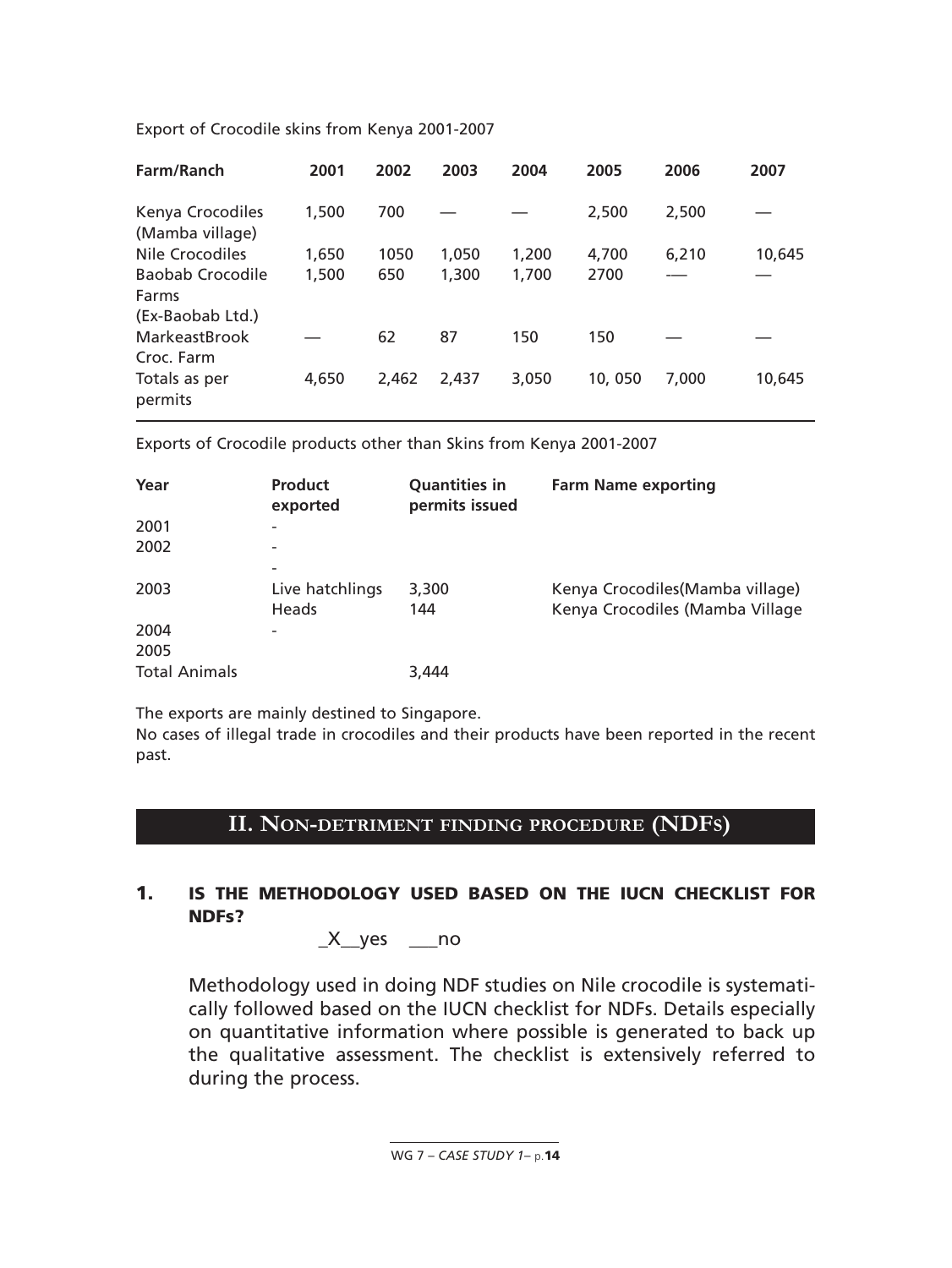| Farm/Ranch                          | 2001  | 2002  | 2003  | 2004  | 2005   | 2006  | 2007   |
|-------------------------------------|-------|-------|-------|-------|--------|-------|--------|
| Kenya Crocodiles<br>(Mamba village) | 1,500 | 700   |       |       | 2,500  | 2,500 |        |
| Nile Crocodiles                     | 1,650 | 1050  | 1,050 | 1,200 | 4,700  | 6,210 | 10,645 |
| Baobab Crocodile                    | 1,500 | 650   | 1,300 | 1,700 | 2700   |       |        |
| Farms<br>(Ex-Baobab Ltd.)           |       |       |       |       |        |       |        |
| MarkeastBrook<br>Croc. Farm         |       | 62    | 87    | 150   | 150    |       |        |
| Totals as per<br>permits            | 4,650 | 2.462 | 2.437 | 3.050 | 10,050 | 7.000 | 10,645 |

Export of Crocodile skins from Kenya 2001-2007

Exports of Crocodile products other than Skins from Kenya 2001-2007

| Year                 | <b>Product</b><br>exported                                  | <b>Quantities in</b><br>permits issued | <b>Farm Name exporting</b>                                          |
|----------------------|-------------------------------------------------------------|----------------------------------------|---------------------------------------------------------------------|
| 2001                 | $\overline{\phantom{0}}$                                    |                                        |                                                                     |
| 2002                 |                                                             |                                        |                                                                     |
| 2003                 | $\overline{\phantom{0}}$<br>Live hatchlings<br><b>Heads</b> | 3,300<br>144                           | Kenya Crocodiles (Mamba village)<br>Kenya Crocodiles (Mamba Village |
| 2004                 | $\overline{\phantom{0}}$                                    |                                        |                                                                     |
| 2005                 |                                                             |                                        |                                                                     |
| <b>Total Animals</b> |                                                             | 3.444                                  |                                                                     |

The exports are mainly destined to Singapore.

No cases of illegal trade in crocodiles and their products have been reported in the recent past.

## **II. NON-DETRIMENT FINDING PROCEDURE (NDFS)**

### **1. IS THE METHODOLOGY USED BASED ON THE IUCN CHECKLIST FOR NDFs?**

 $X_$ yes  $_$ no

Methodology used in doing NDF studies on Nile crocodile is systematically followed based on the IUCN checklist for NDFs. Details especially on quantitative information where possible is generated to back up the qualitative assessment. The checklist is extensively referred to during the process.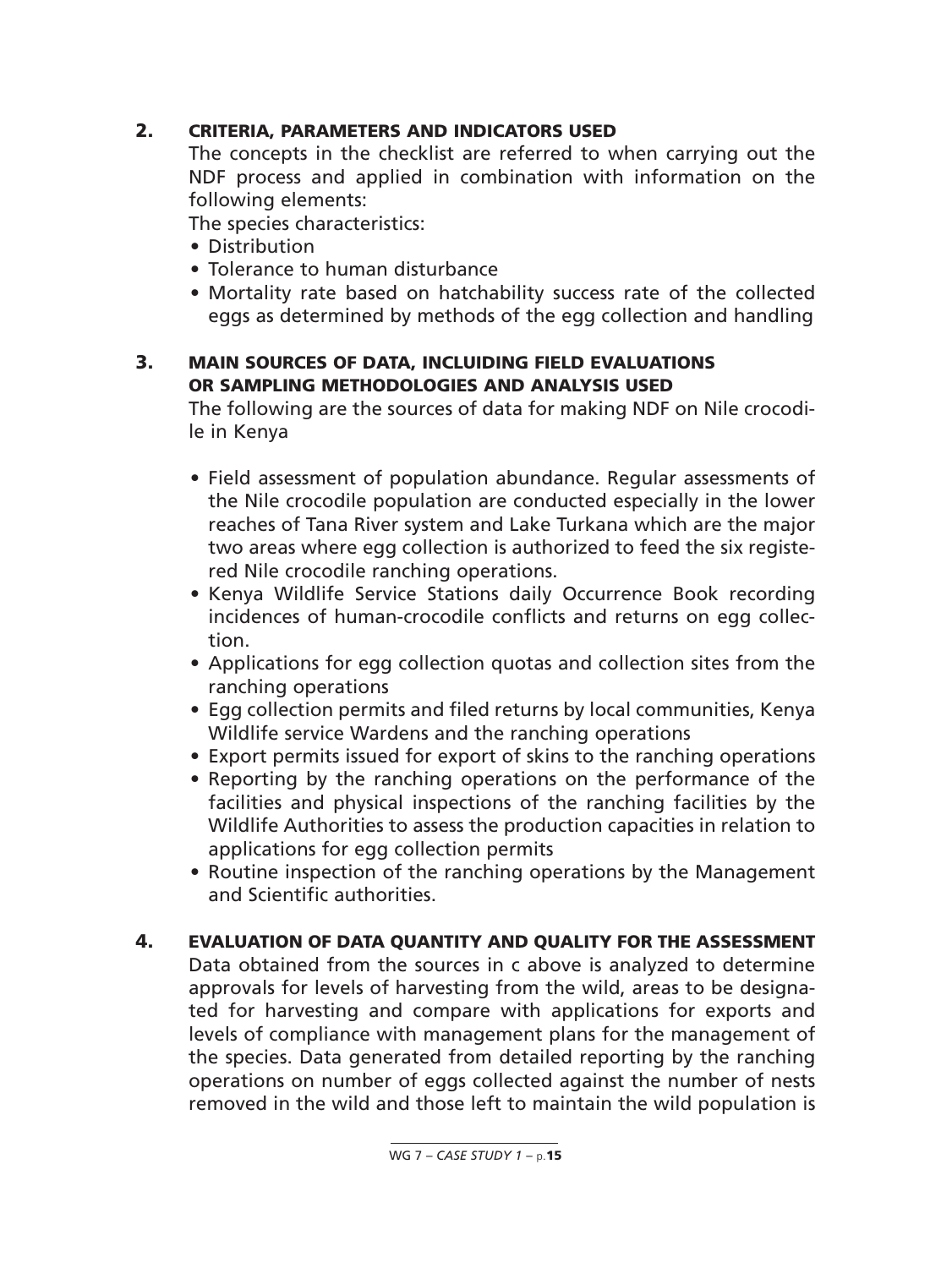## **2. CRITERIA, PARAMETERS AND INDICATORS USED**

The concepts in the checklist are referred to when carrying out the NDF process and applied in combination with information on the following elements:

The species characteristics:

- Distribution
- Tolerance to human disturbance
- Mortality rate based on hatchability success rate of the collected eggs as determined by methods of the egg collection and handling

### **3. MAIN SOURCES OF DATA, INCLUIDING FIELD EVALUATIONS OR SAMPLING METHODOLOGIES AND ANALYSIS USED**

The following are the sources of data for making NDF on Nile crocodile in Kenya

- Field assessment of population abundance. Regular assessments of the Nile crocodile population are conducted especially in the lower reaches of Tana River system and Lake Turkana which are the major two areas where egg collection is authorized to feed the six registered Nile crocodile ranching operations.
- Kenya Wildlife Service Stations daily Occurrence Book recording incidences of human-crocodile conflicts and returns on egg collection.
- Applications for egg collection quotas and collection sites from the ranching operations
- Egg collection permits and filed returns by local communities, Kenya Wildlife service Wardens and the ranching operations
- Export permits issued for export of skins to the ranching operations
- Reporting by the ranching operations on the performance of the facilities and physical inspections of the ranching facilities by the Wildlife Authorities to assess the production capacities in relation to applications for egg collection permits
- Routine inspection of the ranching operations by the Management and Scientific authorities.

## **4. EVALUATION OF DATA QUANTITY AND QUALITY FOR THE ASSESSMENT**

Data obtained from the sources in c above is analyzed to determine approvals for levels of harvesting from the wild, areas to be designated for harvesting and compare with applications for exports and levels of compliance with management plans for the management of the species. Data generated from detailed reporting by the ranching operations on number of eggs collected against the number of nests removed in the wild and those left to maintain the wild population is